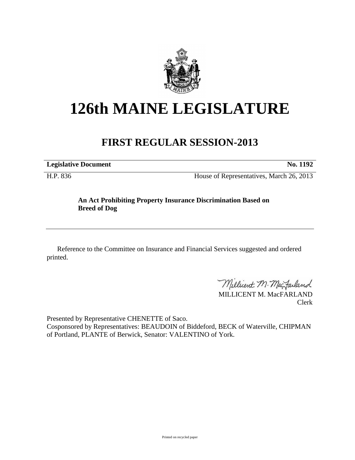

# **126th MAINE LEGISLATURE**

## **FIRST REGULAR SESSION-2013**

**Legislative Document No. 1192**

H.P. 836 House of Representatives, March 26, 2013

### **An Act Prohibiting Property Insurance Discrimination Based on Breed of Dog**

Reference to the Committee on Insurance and Financial Services suggested and ordered printed.

Millicent M. MacJarland

MILLICENT M. MacFARLAND Clerk

Presented by Representative CHENETTE of Saco.

Cosponsored by Representatives: BEAUDOIN of Biddeford, BECK of Waterville, CHIPMAN of Portland, PLANTE of Berwick, Senator: VALENTINO of York.